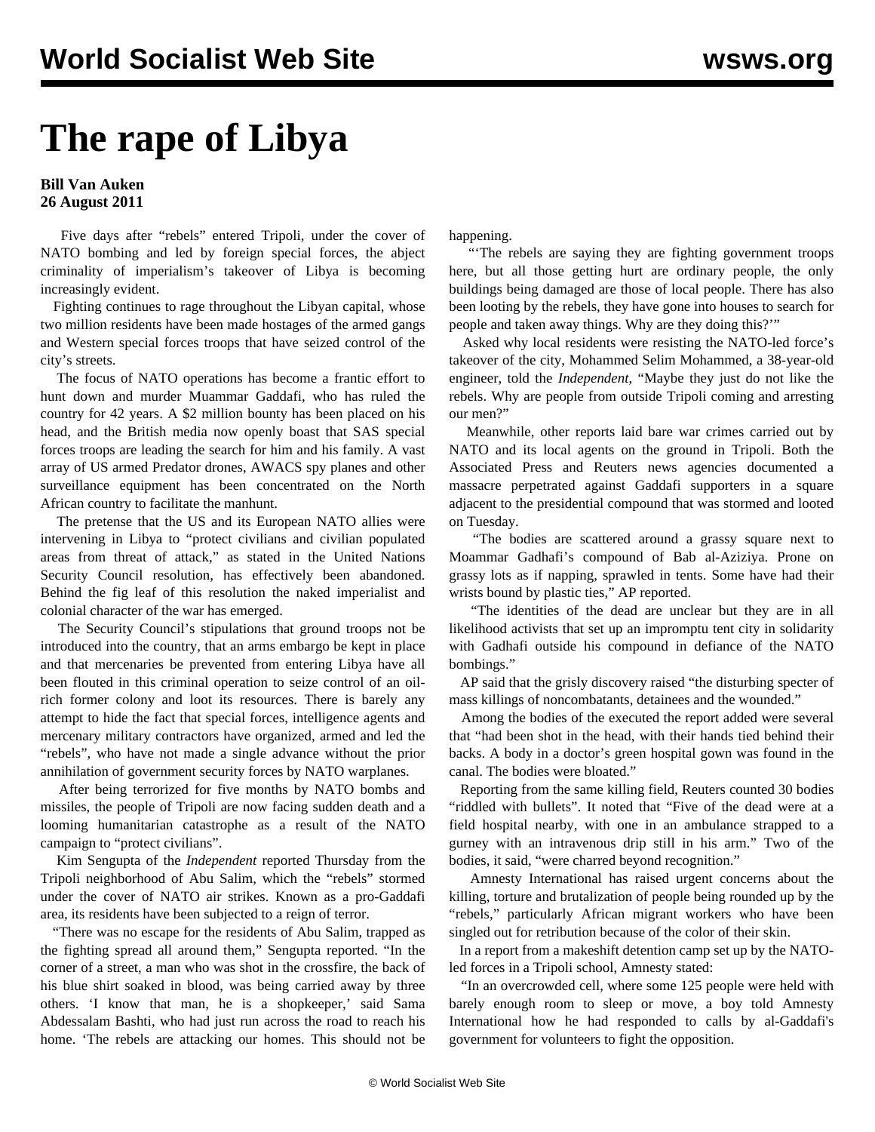## **The rape of Libya**

## **Bill Van Auken 26 August 2011**

 Five days after "rebels" entered Tripoli, under the cover of NATO bombing and led by foreign special forces, the abject criminality of imperialism's takeover of Libya is becoming increasingly evident.

 Fighting continues to rage throughout the Libyan capital, whose two million residents have been made hostages of the armed gangs and Western special forces troops that have seized control of the city's streets.

 The focus of NATO operations has become a frantic effort to hunt down and murder Muammar Gaddafi, who has ruled the country for 42 years. A \$2 million bounty has been placed on his head, and the British media now openly boast that SAS special forces troops are leading the search for him and his family. A vast array of US armed Predator drones, AWACS spy planes and other surveillance equipment has been concentrated on the North African country to facilitate the manhunt.

 The pretense that the US and its European NATO allies were intervening in Libya to "protect civilians and civilian populated areas from threat of attack," as stated in the United Nations Security Council resolution, has effectively been abandoned. Behind the fig leaf of this resolution the naked imperialist and colonial character of the war has emerged.

 The Security Council's stipulations that ground troops not be introduced into the country, that an arms embargo be kept in place and that mercenaries be prevented from entering Libya have all been flouted in this criminal operation to seize control of an oilrich former colony and loot its resources. There is barely any attempt to hide the fact that special forces, intelligence agents and mercenary military contractors have organized, armed and led the "rebels", who have not made a single advance without the prior annihilation of government security forces by NATO warplanes.

 After being terrorized for five months by NATO bombs and missiles, the people of Tripoli are now facing sudden death and a looming humanitarian catastrophe as a result of the NATO campaign to "protect civilians".

 Kim Sengupta of the *Independent* reported Thursday from the Tripoli neighborhood of Abu Salim, which the "rebels" stormed under the cover of NATO air strikes. Known as a pro-Gaddafi area, its residents have been subjected to a reign of terror.

 "There was no escape for the residents of Abu Salim, trapped as the fighting spread all around them," Sengupta reported. "In the corner of a street, a man who was shot in the crossfire, the back of his blue shirt soaked in blood, was being carried away by three others. 'I know that man, he is a shopkeeper,' said Sama Abdessalam Bashti, who had just run across the road to reach his home. 'The rebels are attacking our homes. This should not be

happening.

 "'The rebels are saying they are fighting government troops here, but all those getting hurt are ordinary people, the only buildings being damaged are those of local people. There has also been looting by the rebels, they have gone into houses to search for people and taken away things. Why are they doing this?'"

 Asked why local residents were resisting the NATO-led force's takeover of the city, Mohammed Selim Mohammed, a 38-year-old engineer, told the *Independent*, "Maybe they just do not like the rebels. Why are people from outside Tripoli coming and arresting our men?"

 Meanwhile, other reports laid bare war crimes carried out by NATO and its local agents on the ground in Tripoli. Both the Associated Press and Reuters news agencies documented a massacre perpetrated against Gaddafi supporters in a square adjacent to the presidential compound that was stormed and looted on Tuesday.

 "The bodies are scattered around a grassy square next to Moammar Gadhafi's compound of Bab al-Aziziya. Prone on grassy lots as if napping, sprawled in tents. Some have had their wrists bound by plastic ties," AP reported.

 "The identities of the dead are unclear but they are in all likelihood activists that set up an impromptu tent city in solidarity with Gadhafi outside his compound in defiance of the NATO bombings."

 AP said that the grisly discovery raised "the disturbing specter of mass killings of noncombatants, detainees and the wounded."

 Among the bodies of the executed the report added were several that "had been shot in the head, with their hands tied behind their backs. A body in a doctor's green hospital gown was found in the canal. The bodies were bloated."

 Reporting from the same killing field, Reuters counted 30 bodies "riddled with bullets". It noted that "Five of the dead were at a field hospital nearby, with one in an ambulance strapped to a gurney with an intravenous drip still in his arm." Two of the bodies, it said, "were charred beyond recognition."

 Amnesty International has raised urgent concerns about the killing, torture and brutalization of people being rounded up by the "rebels," particularly African migrant workers who have been singled out for retribution because of the color of their skin.

 In a report from a makeshift detention camp set up by the NATOled forces in a Tripoli school, Amnesty stated:

 "In an overcrowded cell, where some 125 people were held with barely enough room to sleep or move, a boy told Amnesty International how he had responded to calls by al-Gaddafi's government for volunteers to fight the opposition.